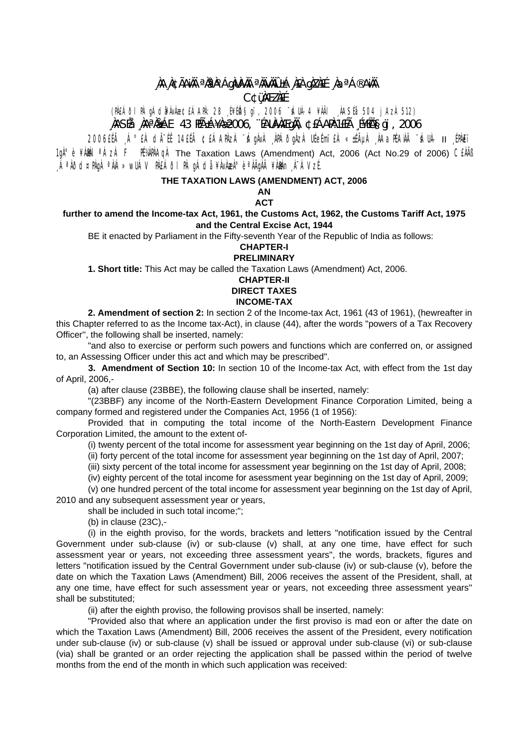# **¸ÀA¸À¢ÃAiÀÄ ªÀåªÀºÁgÀUÀ¼ÀÄ ªÀÄvÀÄÛ ±Á¸À£À gÀZÀ£É ¸ÀaªÁ®AiÀÄ C¢ü¸ÀÆZÀ£É**

(PÀ£ÁðlPÀ gÁdå¥ÀvÀæ ¢£ÁAPÀ: 28 ¸É¥ÉÖA§gï, 2006 ¨sÁUÀ-4 ¥ÀÄl ¸ÀASÉå: 504 jAzÀ 512) **¸ÀASÉå: ¸ÀAªÀå±ÁE 43 PÉñÁ¥Àæ 2006, ¨ÉAUÀ¼ÀÆgÀÄ, ¢£ÁAPÀ:1£Éà ¸É¥ÉÖA§gï, 2006** 

2006£Éà ¸Á°£À dįÉÊ 14£Éà ¢£ÁAPÀzÀ ¨sÁgÀvÀ ¸ÀPÁðgÀzÀ UÉeÉmï£À «±ÉõÀ ¸ÀAaPÉAiÀÄ ¨sÁUÀ- II ¸ÉPÀë£ï 1gˡè ¥ÀMÀI<sup>a</sup>ÁzÀ F PÉVÀPÀAgÀ The Taxation Laws (Amendment) Act, 2006 (Act No.29 of 2006) CEÀÄß ,ÁªÀðd¤PÀgÀ ªÀiÁ»wUÁV PÀ£ÁðI PÀ gÁdå ¥ÀvÀæÀ°è ªÀÄgÀÄ ¥ÀðÀn¸À¯ÁVzÉ.

## **THE TAXATION LAWS (AMENDMENT) ACT, 2006**

**AN ACT** 

## **further to amend the Income-tax Act, 1961, the Customs Act, 1962, the Customs Tariff Act, 1975 and the Central Excise Act, 1944**

BE it enacted by Parliament in the Fifty-seventh Year of the Republic of India as follows:

#### **CHAPTER-I PRELIMINARY**

**1. Short title:** This Act may be called the Taxation Laws (Amendment) Act, 2006.

## **CHAPTER-II DIRECT TAXES INCOME-TAX**

**2. Amendment of section 2:** In section 2 of the Income-tax Act, 1961 (43 of 1961), (hewreafter in this Chapter referred to as the Income tax-Act), in clause (44), after the words "powers of a Tax Recovery Officer'', the following shall be inserted, namely:

"and also to exercise or perform such powers and functions which are conferred on, or assigned to, an Assessing Officer under this act and which may be prescribed".

 **3. Amendment of Section 10:** In section 10 of the Income-tax Act, with effect from the 1st day of April, 2006,-

(a) after clause (23BBE), the following clause shall be inserted, namely:

"(23BBF) any income of the North-Eastern Development Finance Corporation Limited, being a company formed and registered under the Companies Act, 1956 (1 of 1956):

Provided that in computing the total income of the North-Eastern Development Finance Corporation Limited, the amount to the extent of-

(i) twenty percent of the total income for assessment year beginning on the 1st day of April, 2006;

(ii) forty percent of the total income for assessment year beginning on the 1st day of April, 2007;

(iii) sixty percent of the total income for assessment year beginning on the 1st day of April, 2008;

(iv) eighty percent of the total income for asessment year beginning on the 1st day of April, 2009;

(v) one hundred percent of the total income for assessment year beginning on the 1st day of April, 2010 and any subsequent assessment year or years,

shall be included in such total income;";

(b) in clause (23C),-

(i) in the eighth proviso, for the words, brackets and letters "notification issued by the Central Government under sub-clause (iv) or sub-clause (v) shall, at any one time, have effect for such assessment year or years, not exceeding three assessment years", the words, brackets, figures and letters "notification issued by the Central Government under sub-clause (iv) or sub-clause (v), before the date on which the Taxation Laws (Amendment) Bill, 2006 receives the assent of the President, shall, at any one time, have effect for such assessment year or years, not exceeding three assessment years'' shall be substituted;

(ii) after the eighth proviso, the following provisos shall be inserted, namely:

"Provided also that where an application under the first proviso is mad eon or after the date on which the Taxation Laws (Amendment) Bill, 2006 receives the assent of the President, every notification under sub-clause (iv) or sub-clause (v) shall be issued or approval under sub-clause (vi) or sub-clause (via) shall be granted or an order rejecting the application shall be passed within the period of twelve months from the end of the month in which such application was received: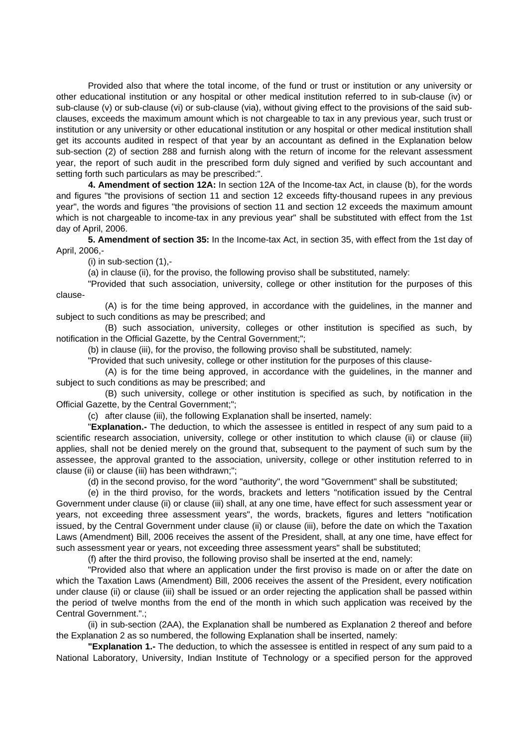Provided also that where the total income, of the fund or trust or institution or any university or other educational institution or any hospital or other medical institution referred to in sub-clause (iv) or sub-clause (v) or sub-clause (vi) or sub-clause (via), without giving effect to the provisions of the said subclauses, exceeds the maximum amount which is not chargeable to tax in any previous year, such trust or institution or any university or other educational institution or any hospital or other medical institution shall get its accounts audited in respect of that year by an accountant as defined in the Explanation below sub-section (2) of section 288 and furnish along with the return of income for the relevant assessment year, the report of such audit in the prescribed form duly signed and verified by such accountant and setting forth such particulars as may be prescribed:".

 **4. Amendment of section 12A:** In section 12A of the Income-tax Act, in clause (b), for the words and figures "the provisions of section 11 and section 12 exceeds fifty-thousand rupees in any previous year", the words and figures "the provisions of section 11 and section 12 exceeds the maximum amount which is not chargeable to income-tax in any previous year" shall be substituted with effect from the 1st day of April, 2006.

**5. Amendment of section 35:** In the Income-tax Act, in section 35, with effect from the 1st day of April, 2006,-

(i) in sub-section (1),-

(a) in clause (ii), for the proviso, the following proviso shall be substituted, namely:

 "Provided that such association, university, college or other institution for the purposes of this clause-

 (A) is for the time being approved, in accordance with the guidelines, in the manner and subject to such conditions as may be prescribed; and

 (B) such association, university, colleges or other institution is specified as such, by notification in the Official Gazette, by the Central Government;";

(b) in clause (iii), for the proviso, the following proviso shall be substituted, namely:

"Provided that such univesity, college or other institution for the purposes of this clause-

 (A) is for the time being approved, in accordance with the guidelines, in the manner and subject to such conditions as may be prescribed; and

 (B) such university, college or other institution is specified as such, by notification in the Official Gazette, by the Central Government;";

(c) after clause (iii), the following Explanation shall be inserted, namely:

 "**Explanation.-** The deduction, to which the assessee is entitled in respect of any sum paid to a scientific research association, university, college or other institution to which clause (ii) or clause (iii) applies, shall not be denied merely on the ground that, subsequent to the payment of such sum by the assessee, the approval granted to the association, university, college or other institution referred to in clause (ii) or clause (iii) has been withdrawn;";

(d) in the second proviso, for the word "authority", the word "Government" shall be substituted;

 (e) in the third proviso, for the words, brackets and letters "notification issued by the Central Government under clause (ii) or clause (iii) shall, at any one time, have effect for such assessment year or years, not exceeding three assessment years", the words, brackets, figures and letters "notification issued, by the Central Government under clause (ii) or clause (iii), before the date on which the Taxation Laws (Amendment) Bill, 2006 receives the assent of the President, shall, at any one time, have effect for such assessment year or years, not exceeding three assessment years" shall be substituted;

(f) after the third proviso, the following proviso shall be inserted at the end, namely:

 "Provided also that where an application under the first proviso is made on or after the date on which the Taxation Laws (Amendment) Bill, 2006 receives the assent of the President, every notification under clause (ii) or clause (iii) shall be issued or an order rejecting the application shall be passed within the period of twelve months from the end of the month in which such application was received by the Central Government.".;

 (ii) in sub-section (2AA), the Explanation shall be numbered as Explanation 2 thereof and before the Explanation 2 as so numbered, the following Explanation shall be inserted, namely:

**"Explanation 1.-** The deduction, to which the assessee is entitled in respect of any sum paid to a National Laboratory, University, Indian Institute of Technology or a specified person for the approved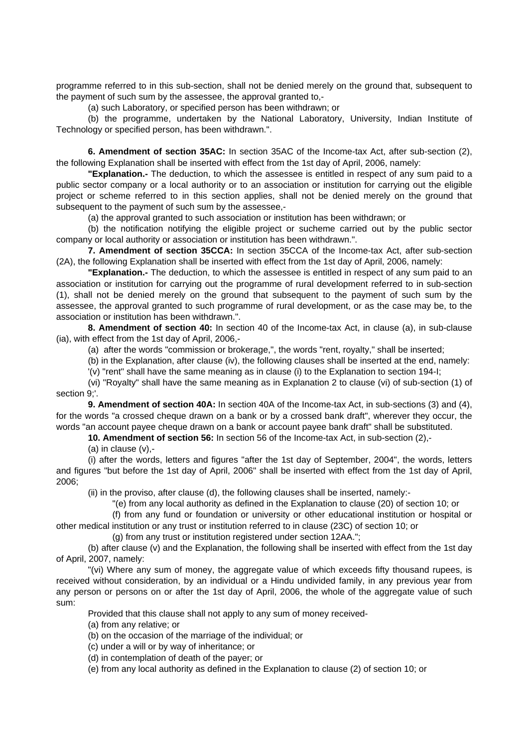programme referred to in this sub-section, shall not be denied merely on the ground that, subsequent to the payment of such sum by the assessee, the approval granted to,-

(a) such Laboratory, or specified person has been withdrawn; or

 (b) the programme, undertaken by the National Laboratory, University, Indian Institute of Technology or specified person, has been withdrawn.".

**6. Amendment of section 35AC:** In section 35AC of the Income-tax Act, after sub-section (2), the following Explanation shall be inserted with effect from the 1st day of April, 2006, namely:

**"Explanation.-** The deduction, to which the assessee is entitled in respect of any sum paid to a public sector company or a local authority or to an association or institution for carrying out the eligible project or scheme referred to in this section applies, shall not be denied merely on the ground that subsequent to the payment of such sum by the assessee.-

(a) the approval granted to such association or institution has been withdrawn; or

 (b) the notification notifying the eligible project or sucheme carried out by the public sector company or local authority or association or institution has been withdrawn.".

**7. Amendment of section 35CCA:** In section 35CCA of the Income-tax Act, after sub-section (2A), the following Explanation shall be inserted with effect from the 1st day of April, 2006, namely:

**"Explanation.-** The deduction, to which the assessee is entitled in respect of any sum paid to an association or institution for carrying out the programme of rural development referred to in sub-section (1), shall not be denied merely on the ground that subsequent to the payment of such sum by the assessee, the approval granted to such programme of rural development, or as the case may be, to the association or institution has been withdrawn.".

**8. Amendment of section 40:** In section 40 of the Income-tax Act, in clause (a), in sub-clause (ia), with effect from the 1st day of April, 2006,-

(a) after the words "commission or brokerage,", the words "rent, royalty," shall be inserted;

(b) in the Explanation, after clause (iv), the following clauses shall be inserted at the end, namely:

'(v) "rent" shall have the same meaning as in clause (i) to the Explanation to section 194-I;

 (vi) "Royalty" shall have the same meaning as in Explanation 2 to clause (vi) of sub-section (1) of section 9;'.

**9. Amendment of section 40A:** In section 40A of the Income-tax Act, in sub-sections (3) and (4), for the words "a crossed cheque drawn on a bank or by a crossed bank draft", wherever they occur, the words "an account payee cheque drawn on a bank or account payee bank draft" shall be substituted.

**10. Amendment of section 56:** In section 56 of the Income-tax Act, in sub-section (2),-

(a) in clause (v),-

 (i) after the words, letters and figures "after the 1st day of September, 2004", the words, letters and figures "but before the 1st day of April, 2006" shall be inserted with effect from the 1st day of April, 2006;

(ii) in the proviso, after clause (d), the following clauses shall be inserted, namely:-

"(e) from any local authority as defined in the Explanation to clause (20) of section 10; or

 (f) from any fund or foundation or university or other educational institution or hospital or other medical institution or any trust or institution referred to in clause (23C) of section 10; or

(g) from any trust or institution registered under section 12AA.";

 (b) after clause (v) and the Explanation, the following shall be inserted with effect from the 1st day of April, 2007, namely:

 "(vi) Where any sum of money, the aggregate value of which exceeds fifty thousand rupees, is received without consideration, by an individual or a Hindu undivided family, in any previous year from any person or persons on or after the 1st day of April, 2006, the whole of the aggregate value of such sum:

Provided that this clause shall not apply to any sum of money received-

(a) from any relative; or

(b) on the occasion of the marriage of the individual; or

(c) under a will or by way of inheritance; or

(d) in contemplation of death of the payer; or

(e) from any local authority as defined in the Explanation to clause (2) of section 10; or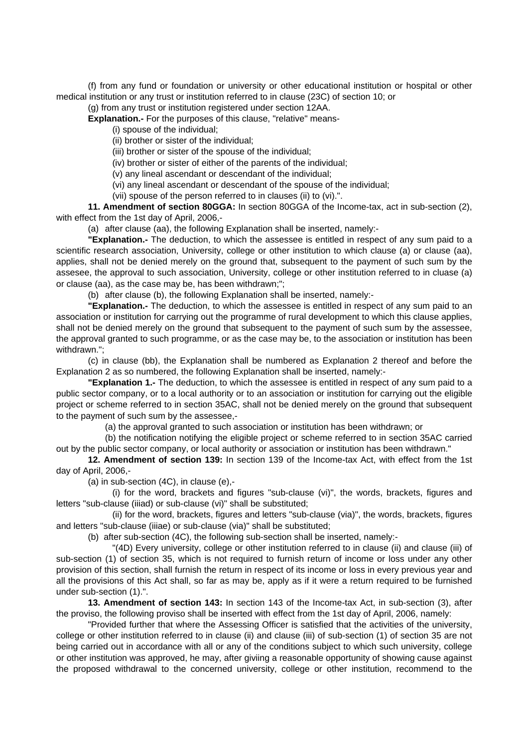(f) from any fund or foundation or university or other educational institution or hospital or other medical institution or any trust or institution referred to in clause (23C) of section 10; or

(g) from any trust or institution registered under section 12AA.

**Explanation.-** For the purposes of this clause, "relative" means-

(i) spouse of the individual;

(ii) brother or sister of the individual;

(iii) brother or sister of the spouse of the individual;

(iv) brother or sister of either of the parents of the individual;

(v) any lineal ascendant or descendant of the individual;

(vi) any lineal ascendant or descendant of the spouse of the individual;

(vii) spouse of the person referred to in clauses (ii) to (vi).".

**11. Amendment of section 80GGA:** In section 80GGA of the Income-tax, act in sub-section (2), with effect from the 1st day of April, 2006,-

(a) after clause (aa), the following Explanation shall be inserted, namely:-

**"Explanation.-** The deduction, to which the assessee is entitled in respect of any sum paid to a scientific research association, University, college or other institution to which clause (a) or clause (aa), applies, shall not be denied merely on the ground that, subsequent to the payment of such sum by the assesee, the approval to such association, University, college or other institution referred to in cluase (a) or clause (aa), as the case may be, has been withdrawn;";

(b) after clause (b), the following Explanation shall be inserted, namely:-

**"Explanation.-** The deduction, to which the assessee is entitled in respect of any sum paid to an association or institution for carrying out the programme of rural development to which this clause applies, shall not be denied merely on the ground that subsequent to the payment of such sum by the assessee, the approval granted to such programme, or as the case may be, to the association or institution has been withdrawn.";

 (c) in clause (bb), the Explanation shall be numbered as Explanation 2 thereof and before the Explanation 2 as so numbered, the following Explanation shall be inserted, namely:-

**"Explanation 1.-** The deduction, to which the assessee is entitled in respect of any sum paid to a public sector company, or to a local authority or to an association or institution for carrying out the eligible project or scheme referred to in section 35AC, shall not be denied merely on the ground that subsequent to the payment of such sum by the assessee,-

(a) the approval granted to such association or institution has been withdrawn; or

 (b) the notification notifying the eligible project or scheme referred to in section 35AC carried out by the public sector company, or local authority or association or institution has been withdrawn."

**12. Amendment of section 139:** In section 139 of the Income-tax Act, with effect from the 1st day of April, 2006,-

(a) in sub-section (4C), in clause (e),-

 (i) for the word, brackets and figures "sub-clause (vi)", the words, brackets, figures and letters "sub-clause (iiiad) or sub-clause (vi)" shall be substituted;

 (ii) for the word, brackets, figures and letters "sub-clause (via)", the words, brackets, figures and letters "sub-clause (iiiae) or sub-clause (via)" shall be substituted;

(b) after sub-section (4C), the following sub-section shall be inserted, namely:-

 "(4D) Every university, college or other institution referred to in clause (ii) and clause (iii) of sub-section (1) of section 35, which is not required to furnish return of income or loss under any other provision of this section, shall furnish the return in respect of its income or loss in every previous year and all the provisions of this Act shall, so far as may be, apply as if it were a return required to be furnished under sub-section (1).".

**13. Amendment of section 143:** In section 143 of the Income-tax Act, in sub-section (3), after the proviso, the following proviso shall be inserted with effect from the 1st day of April, 2006, namely:

 "Provided further that where the Assessing Officer is satisfied that the activities of the university, college or other institution referred to in clause (ii) and clause (iii) of sub-section (1) of section 35 are not being carried out in accordance with all or any of the conditions subject to which such university, college or other institution was approved, he may, after giviing a reasonable opportunity of showing cause against the proposed withdrawal to the concerned university, college or other institution, recommend to the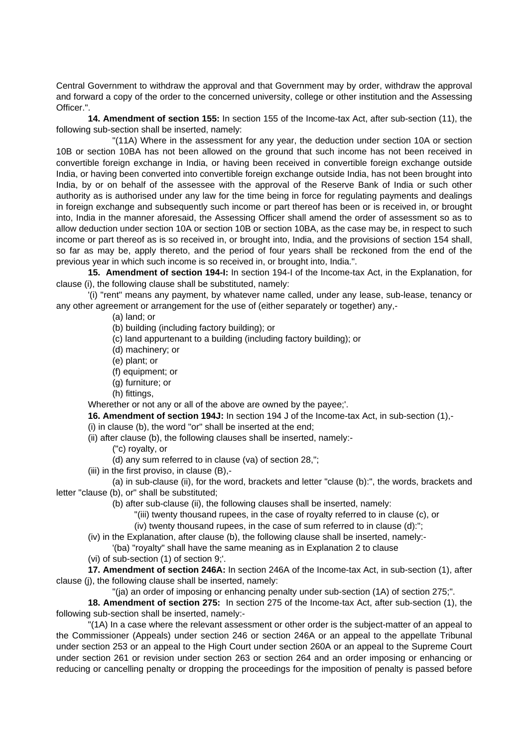Central Government to withdraw the approval and that Government may by order, withdraw the approval and forward a copy of the order to the concerned university, college or other institution and the Assessing Officer.".

**14. Amendment of section 155:** In section 155 of the Income-tax Act, after sub-section (11), the following sub-section shall be inserted, namely:

 "(11A) Where in the assessment for any year, the deduction under section 10A or section 10B or section 10BA has not been allowed on the ground that such income has not been received in convertible foreign exchange in India, or having been received in convertible foreign exchange outside India, or having been converted into convertible foreign exchange outside India, has not been brought into India, by or on behalf of the assessee with the approval of the Reserve Bank of India or such other authority as is authorised under any law for the time being in force for regulating payments and dealings in foreign exchange and subsequently such income or part thereof has been or is received in, or brought into, India in the manner aforesaid, the Assessing Officer shall amend the order of assessment so as to allow deduction under section 10A or section 10B or section 10BA, as the case may be, in respect to such income or part thereof as is so received in, or brought into, India, and the provisions of section 154 shall, so far as may be, apply thereto, and the period of four years shall be reckoned from the end of the previous year in which such income is so received in, or brought into, India.".

**15. Amendment of section 194-I:** In section 194-I of the Income-tax Act, in the Explanation, for clause (i), the following clause shall be substituted, namely:

 '(i) "rent" means any payment, by whatever name called, under any lease, sub-lease, tenancy or any other agreement or arrangement for the use of (either separately or together) any,-

(a) land; or

(b) building (including factory building); or

- (c) land appurtenant to a building (including factory building); or
- (d) machinery; or
- (e) plant; or
- (f) equipment; or
- (g) furniture; or
- (h) fittings,

Wherether or not any or all of the above are owned by the payee;'.

**16. Amendment of section 194J:** In section 194 J of the Income-tax Act, in sub-section (1),- (i) in clause (b), the word "or" shall be inserted at the end;

(ii) after clause (b), the following clauses shall be inserted, namely:-

("c) royalty, or

(d) any sum referred to in clause (va) of section 28,";

(iii) in the first proviso, in clause (B),-

 (a) in sub-clause (ii), for the word, brackets and letter "clause (b):", the words, brackets and letter "clause (b), or" shall be substituted;

(b) after sub-clause (ii), the following clauses shall be inserted, namely:

- "(iii) twenty thousand rupees, in the case of royalty referred to in clause (c), or
- (iv) twenty thousand rupees, in the case of sum referred to in clause (d):";
- (iv) in the Explanation, after clause (b), the following clause shall be inserted, namely:-

'(ba) "royalty" shall have the same meaning as in Explanation 2 to clause

(vi) of sub-section (1) of section 9;'.

**17. Amendment of section 246A:** In section 246A of the Income-tax Act, in sub-section (1), after clause (j), the following clause shall be inserted, namely:

"(ja) an order of imposing or enhancing penalty under sub-section (1A) of section 275;".

**18. Amendment of section 275:** In section 275 of the Income-tax Act, after sub-section (1), the following sub-section shall be inserted, namely:-

 "(1A) In a case where the relevant assessment or other order is the subject-matter of an appeal to the Commissioner (Appeals) under section 246 or section 246A or an appeal to the appellate Tribunal under section 253 or an appeal to the High Court under section 260A or an appeal to the Supreme Court under section 261 or revision under section 263 or section 264 and an order imposing or enhancing or reducing or cancelling penalty or dropping the proceedings for the imposition of penalty is passed before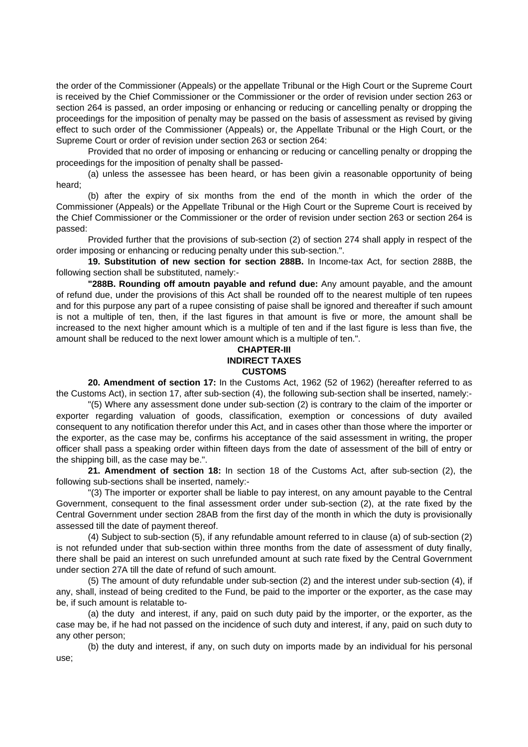the order of the Commissioner (Appeals) or the appellate Tribunal or the High Court or the Supreme Court is received by the Chief Commissioner or the Commissioner or the order of revision under section 263 or section 264 is passed, an order imposing or enhancing or reducing or cancelling penalty or dropping the proceedings for the imposition of penalty may be passed on the basis of assessment as revised by giving effect to such order of the Commissioner (Appeals) or, the Appellate Tribunal or the High Court, or the Supreme Court or order of revision under section 263 or section 264:

 Provided that no order of imposing or enhancing or reducing or cancelling penalty or dropping the proceedings for the imposition of penalty shall be passed-

 (a) unless the assessee has been heard, or has been givin a reasonable opportunity of being heard;

 (b) after the expiry of six months from the end of the month in which the order of the Commissioner (Appeals) or the Appellate Tribunal or the High Court or the Supreme Court is received by the Chief Commissioner or the Commissioner or the order of revision under section 263 or section 264 is passed:

 Provided further that the provisions of sub-section (2) of section 274 shall apply in respect of the order imposing or enhancing or reducing penalty under this sub-section.".

**19. Substitution of new section for section 288B.** In Income-tax Act, for section 288B, the following section shall be substituted, namely:-

 **"288B. Rounding off amoutn payable and refund due:** Any amount payable, and the amount of refund due, under the provisions of this Act shall be rounded off to the nearest multiple of ten rupees and for this purpose any part of a rupee consisting of paise shall be ignored and thereafter if such amount is not a multiple of ten, then, if the last figures in that amount is five or more, the amount shall be increased to the next higher amount which is a multiple of ten and if the last figure is less than five, the amount shall be reduced to the next lower amount which is a multiple of ten.".

## **CHAPTER-III INDIRECT TAXES CUSTOMS**

 **20. Amendment of section 17:** In the Customs Act, 1962 (52 of 1962) (hereafter referred to as the Customs Act), in section 17, after sub-section (4), the following sub-section shall be inserted, namely:-

 "(5) Where any assessment done under sub-section (2) is contrary to the claim of the importer or exporter regarding valuation of goods, classification, exemption or concessions of duty availed consequent to any notification therefor under this Act, and in cases other than those where the importer or the exporter, as the case may be, confirms his acceptance of the said assessment in writing, the proper officer shall pass a speaking order within fifteen days from the date of assessment of the bill of entry or the shipping bill, as the case may be.".

**21. Amendment of section 18:** In section 18 of the Customs Act, after sub-section (2), the following sub-sections shall be inserted, namely:-

 "(3) The importer or exporter shall be liable to pay interest, on any amount payable to the Central Government, consequent to the final assessment order under sub-section (2), at the rate fixed by the Central Government under section 28AB from the first day of the month in which the duty is provisionally assessed till the date of payment thereof.

 (4) Subject to sub-section (5), if any refundable amount referred to in clause (a) of sub-section (2) is not refunded under that sub-section within three months from the date of assessment of duty finally, there shall be paid an interest on such unrefunded amount at such rate fixed by the Central Government under section 27A till the date of refund of such amount.

 (5) The amount of duty refundable under sub-section (2) and the interest under sub-section (4), if any, shall, instead of being credited to the Fund, be paid to the importer or the exporter, as the case may be, if such amount is relatable to-

 (a) the duty and interest, if any, paid on such duty paid by the importer, or the exporter, as the case may be, if he had not passed on the incidence of such duty and interest, if any, paid on such duty to any other person;

 (b) the duty and interest, if any, on such duty on imports made by an individual for his personal use;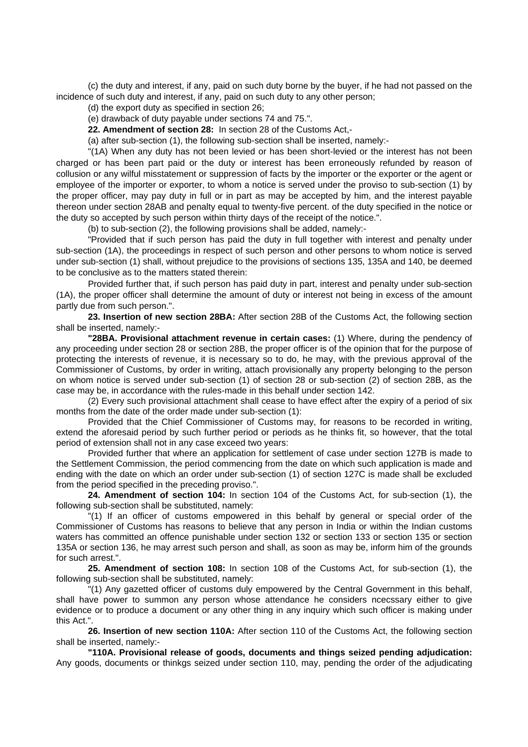(c) the duty and interest, if any, paid on such duty borne by the buyer, if he had not passed on the incidence of such duty and interest, if any, paid on such duty to any other person;

(d) the export duty as specified in section 26;

(e) drawback of duty payable under sections 74 and 75.".

**22. Amendment of section 28:** In section 28 of the Customs Act,-

(a) after sub-section (1), the following sub-section shall be inserted, namely:-

 "(1A) When any duty has not been levied or has been short-levied or the interest has not been charged or has been part paid or the duty or interest has been erroneously refunded by reason of collusion or any wilful misstatement or suppression of facts by the importer or the exporter or the agent or employee of the importer or exporter, to whom a notice is served under the proviso to sub-section (1) by the proper officer, may pay duty in full or in part as may be accepted by him, and the interest payable thereon under section 28AB and penalty equal to twenty-five percent. of the duty specified in the notice or the duty so accepted by such person within thirty days of the receipt of the notice.".

(b) to sub-section (2), the following provisions shall be added, namely:-

 "Provided that if such person has paid the duty in full together with interest and penalty under sub-section (1A), the proceedings in respect of such person and other persons to whom notice is served under sub-section (1) shall, without prejudice to the provisions of sections 135, 135A and 140, be deemed to be conclusive as to the matters stated therein:

 Provided further that, if such person has paid duty in part, interest and penalty under sub-section (1A), the proper officer shall determine the amount of duty or interest not being in excess of the amount partly due from such person.".

**23. Insertion of new section 28BA:** After section 28B of the Customs Act, the following section shall be inserted, namely:-

**"28BA. Provisional attachment revenue in certain cases:** (1) Where, during the pendency of any proceeding under section 28 or section 28B, the proper officer is of the opinion that for the purpose of protecting the interests of revenue, it is necessary so to do, he may, with the previous approval of the Commissioner of Customs, by order in writing, attach provisionally any property belonging to the person on whom notice is served under sub-section (1) of section 28 or sub-section (2) of section 28B, as the case may be, in accordance with the rules-made in this behalf under section 142.

 (2) Every such provisional attachment shall cease to have effect after the expiry of a period of six months from the date of the order made under sub-section (1):

 Provided that the Chief Commissioner of Customs may, for reasons to be recorded in writing, extend the aforesaid period by such further period or periods as he thinks fit, so however, that the total period of extension shall not in any case exceed two years:

 Provided further that where an application for settlement of case under section 127B is made to the Settlement Commission, the period commencing from the date on which such application is made and ending with the date on which an order under sub-section (1) of section 127C is made shall be excluded from the period specified in the preceding proviso.".

**24. Amendment of section 104:** In section 104 of the Customs Act, for sub-section (1), the following sub-section shall be substituted, namely:

 "(1) If an officer of customs empowered in this behalf by general or special order of the Commissioner of Customs has reasons to believe that any person in India or within the Indian customs waters has committed an offence punishable under section 132 or section 133 or section 135 or section 135A or section 136, he may arrest such person and shall, as soon as may be, inform him of the grounds for such arrest.".

**25. Amendment of section 108:** In section 108 of the Customs Act, for sub-section (1), the following sub-section shall be substituted, namely:

 "(1) Any gazetted officer of customs duly empowered by the Central Government in this behalf, shall have power to summon any person whose attendance he considers ncecssary either to give evidence or to produce a document or any other thing in any inquiry which such officer is making under this Act.".

**26. Insertion of new section 110A:** After section 110 of the Customs Act, the following section shall be inserted, namely:-

**"110A. Provisional release of goods, documents and things seized pending adjudication:**  Any goods, documents or thinkgs seized under section 110, may, pending the order of the adjudicating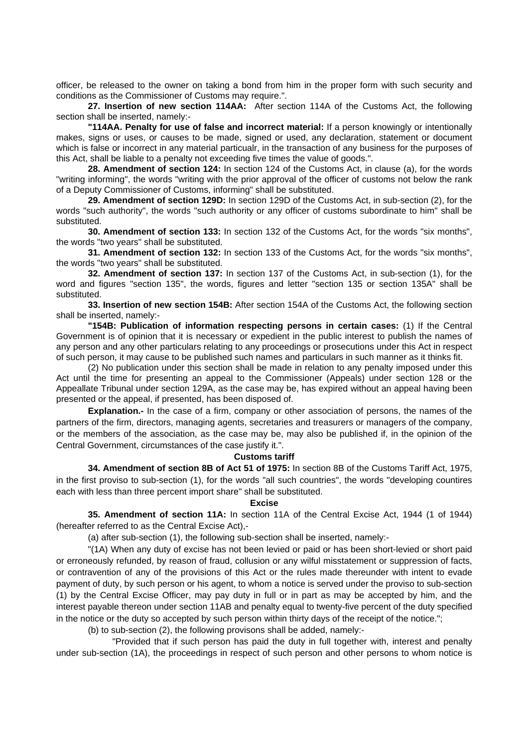officer, be released to the owner on taking a bond from him in the proper form with such security and conditions as the Commissioner of Customs may require.".

**27. Insertion of new section 114AA:** After section 114A of the Customs Act, the following section shall be inserted, namely:-

**"114AA. Penalty for use of false and incorrect material:** If a person knowingly or intentionally makes, signs or uses, or causes to be made, signed or used, any declaration, statement or document which is false or incorrect in any material particualr, in the transaction of any business for the purposes of this Act, shall be liable to a penalty not exceeding five times the value of goods.".

**28. Amendment of section 124:** In section 124 of the Customs Act, in clause (a), for the words "writing informing", the words "writing with the prior approval of the officer of customs not below the rank of a Deputy Commissioner of Customs, informing" shall be substituted.

**29. Amendment of section 129D:** In section 129D of the Customs Act, in sub-section (2), for the words "such authority", the words "such authority or any officer of customs subordinate to him" shall be substituted.

**30. Amendment of section 133:** In section 132 of the Customs Act, for the words "six months", the words "two years" shall be substituted.

**31. Amendment of section 132:** In section 133 of the Customs Act, for the words "six months", the words "two years" shall be substituted.

**32. Amendment of section 137:** In section 137 of the Customs Act, in sub-section (1), for the word and figures "section 135", the words, figures and letter "section 135 or section 135A" shall be substituted.

**33. Insertion of new section 154B:** After section 154A of the Customs Act, the following section shall be inserted, namely:-

**"154B: Publication of information respecting persons in certain cases:** (1) If the Central Government is of opinion that it is necessary or expedient in the public interest to publish the names of any person and any other particulars relating to any proceedings or prosecutions under this Act in respect of such person, it may cause to be published such names and particulars in such manner as it thinks fit.

 (2) No publication under this section shall be made in relation to any penalty imposed under this Act until the time for presenting an appeal to the Commissioner (Appeals) under section 128 or the Appeallate Tribunal under section 129A, as the case may be, has expired without an appeal having been presented or the appeal, if presented, has been disposed of.

**Explanation.-** In the case of a firm, company or other association of persons, the names of the partners of the firm, directors, managing agents, secretaries and treasurers or managers of the company, or the members of the association, as the case may be, may also be published if, in the opinion of the Central Government, circumstances of the case justify it.".

#### **Customs tariff**

 **34. Amendment of section 8B of Act 51 of 1975:** In section 8B of the Customs Tariff Act, 1975, in the first proviso to sub-section (1), for the words "all such countries", the words "developing countires each with less than three percent import share" shall be substituted.

#### **Excise**

 **35. Amendment of section 11A:** In section 11A of the Central Excise Act, 1944 (1 of 1944) (hereafter referred to as the Central Excise Act),-

(a) after sub-section (1), the following sub-section shall be inserted, namely:-

 "(1A) When any duty of excise has not been levied or paid or has been short-levied or short paid or erroneously refunded, by reason of fraud, collusion or any wilful misstatement or suppression of facts, or contravention of any of the provisions of this Act or the rules made thereunder with intent to evade payment of duty, by such person or his agent, to whom a notice is served under the proviso to sub-section (1) by the Central Excise Officer, may pay duty in full or in part as may be accepted by him, and the interest payable thereon under section 11AB and penalty equal to twenty-five percent of the duty specified in the notice or the duty so accepted by such person within thirty days of the receipt of the notice.";

(b) to sub-section (2), the following provisons shall be added, namely:-

 "Provided that if such person has paid the duty in full together with, interest and penalty under sub-section (1A), the proceedings in respect of such person and other persons to whom notice is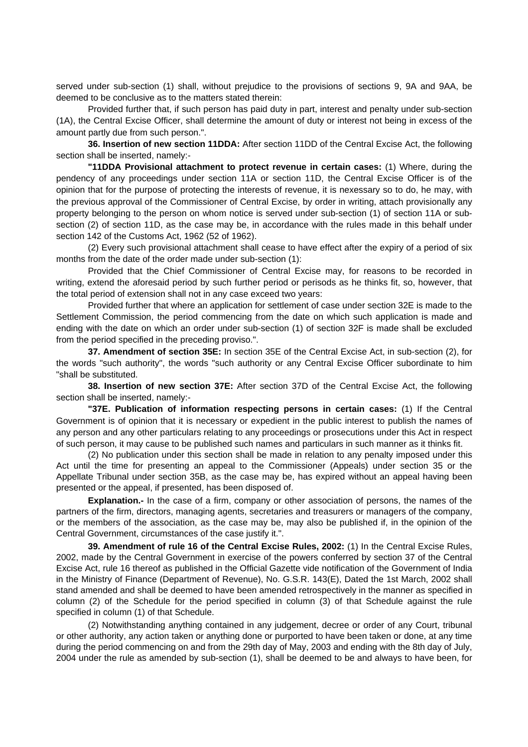served under sub-section (1) shall, without prejudice to the provisions of sections 9, 9A and 9AA, be deemed to be conclusive as to the matters stated therein:

 Provided further that, if such person has paid duty in part, interest and penalty under sub-section (1A), the Central Excise Officer, shall determine the amount of duty or interest not being in excess of the amount partly due from such person.".

 **36. Insertion of new section 11DDA:** After section 11DD of the Central Excise Act, the following section shall be inserted, namely:-

**"11DDA Provisional attachment to protect revenue in certain cases:** (1) Where, during the pendency of any proceedings under section 11A or section 11D, the Central Excise Officer is of the opinion that for the purpose of protecting the interests of revenue, it is nexessary so to do, he may, with the previous approval of the Commissioner of Central Excise, by order in writing, attach provisionally any property belonging to the person on whom notice is served under sub-section (1) of section 11A or subsection (2) of section 11D, as the case may be, in accordance with the rules made in this behalf under section 142 of the Customs Act, 1962 (52 of 1962).

 (2) Every such provisional attachment shall cease to have effect after the expiry of a period of six months from the date of the order made under sub-section (1):

 Provided that the Chief Commissioner of Central Excise may, for reasons to be recorded in writing, extend the aforesaid period by such further period or perisods as he thinks fit, so, however, that the total period of extension shall not in any case exceed two years:

 Provided further that where an application for settlement of case under section 32E is made to the Settlement Commission, the period commencing from the date on which such application is made and ending with the date on which an order under sub-section (1) of section 32F is made shall be excluded from the period specified in the preceding proviso.".

**37. Amendment of section 35E:** In section 35E of the Central Excise Act, in sub-section (2), for the words "such authority", the words "such authority or any Central Excise Officer subordinate to him "shall be substituted.

**38. Insertion of new section 37E:** After section 37D of the Central Excise Act, the following section shall be inserted, namely:-

**"37E. Publication of information respecting persons in certain cases:** (1) If the Central Government is of opinion that it is necessary or expedient in the public interest to publish the names of any person and any other particulars relating to any proceedings or prosecutions under this Act in respect of such person, it may cause to be published such names and particulars in such manner as it thinks fit.

 (2) No publication under this section shall be made in relation to any penalty imposed under this Act until the time for presenting an appeal to the Commissioner (Appeals) under section 35 or the Appellate Tribunal under section 35B, as the case may be, has expired without an appeal having been presented or the appeal, if presented, has been disposed of.

**Explanation.-** In the case of a firm, company or other association of persons, the names of the partners of the firm, directors, managing agents, secretaries and treasurers or managers of the company, or the members of the association, as the case may be, may also be published if, in the opinion of the Central Government, circumstances of the case justify it.".

**39. Amendment of rule 16 of the Central Excise Rules, 2002:** (1) In the Central Excise Rules, 2002, made by the Central Government in exercise of the powers conferred by section 37 of the Central Excise Act, rule 16 thereof as published in the Official Gazette vide notification of the Government of India in the Ministry of Finance (Department of Revenue), No. G.S.R. 143(E), Dated the 1st March, 2002 shall stand amended and shall be deemed to have been amended retrospectively in the manner as specified in column (2) of the Schedule for the period specified in column (3) of that Schedule against the rule specified in column (1) of that Schedule.

 (2) Notwithstanding anything contained in any judgement, decree or order of any Court, tribunal or other authority, any action taken or anything done or purported to have been taken or done, at any time during the period commencing on and from the 29th day of May, 2003 and ending with the 8th day of July, 2004 under the rule as amended by sub-section (1), shall be deemed to be and always to have been, for